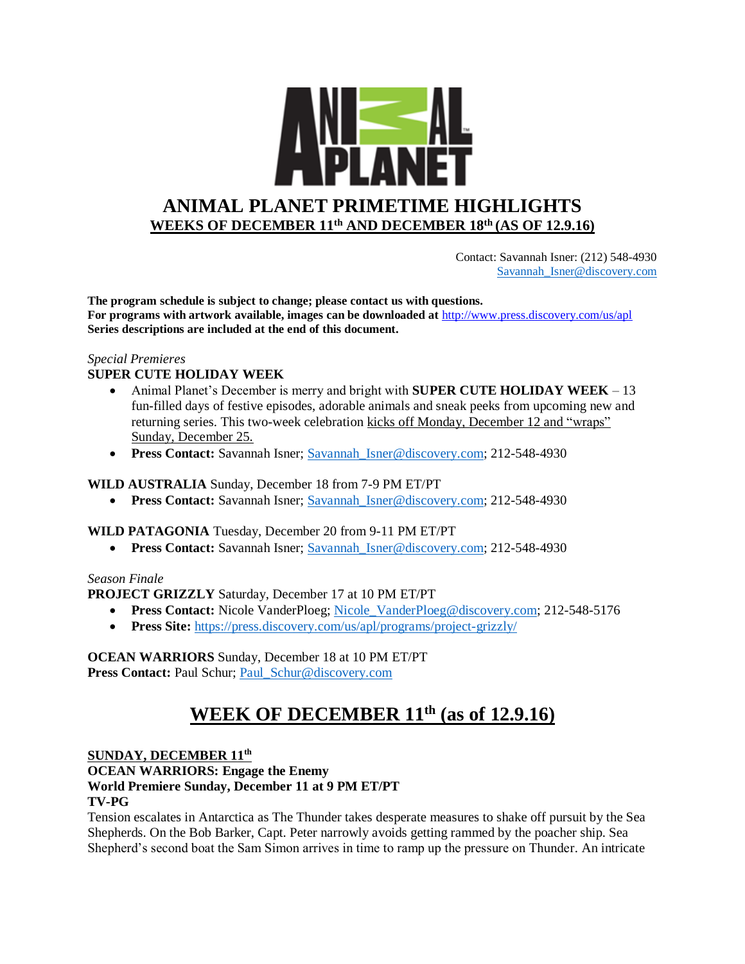

 Contact: Savannah Isner: (212) 548-4930 [Savannah\\_Isner@discovery.com](mailto:Savannah_Isner@discovery.com)

**The program schedule is subject to change; please contact us with questions. For programs with artwork available, images can be downloaded at** http://www.press.discovery.com/us/apl **Series descriptions are included at the end of this document.** 

## *Special Premieres*

# **SUPER CUTE HOLIDAY WEEK**

- Animal Planet's December is merry and bright with **SUPER CUTE HOLIDAY WEEK**  13 fun-filled days of festive episodes, adorable animals and sneak peeks from upcoming new and returning series. This two-week celebration kicks off Monday, December 12 and "wraps" Sunday, December 25.
- **Press Contact:** Savannah Isner; Savannah Isner@discovery.com; 212-548-4930

#### **WILD AUSTRALIA** Sunday, December 18 from 7-9 PM ET/PT

**Press Contact:** Savannah Isner; Savannah Isner@discovery.com; 212-548-4930

#### **WILD PATAGONIA** Tuesday, December 20 from 9-11 PM ET/PT

**Press Contact:** Savannah Isner; Savannah Isner@discovery.com; 212-548-4930

#### *Season Finale*

#### **PROJECT GRIZZLY** Saturday, December 17 at 10 PM ET/PT

- **Press Contact:** Nicole VanderPloeg; Nicole VanderPloeg@discovery.com; 212-548-5176
- **Press Site:** <https://press.discovery.com/us/apl/programs/project-grizzly/>

# **OCEAN WARRIORS** Sunday, December 18 at 10 PM ET/PT

Press Contact: Paul Schur; Paul Schur@discovery.com

# **WEEK OF DECEMBER 11 th (as of 12.9.16)**

#### **SUNDAY, DECEMBER 11th**

**OCEAN WARRIORS: Engage the Enemy World Premiere Sunday, December 11 at 9 PM ET/PT TV-PG**

Tension escalates in Antarctica as The Thunder takes desperate measures to shake off pursuit by the Sea Shepherds. On the Bob Barker, Capt. Peter narrowly avoids getting rammed by the poacher ship. Sea Shepherd's second boat the Sam Simon arrives in time to ramp up the pressure on Thunder. An intricate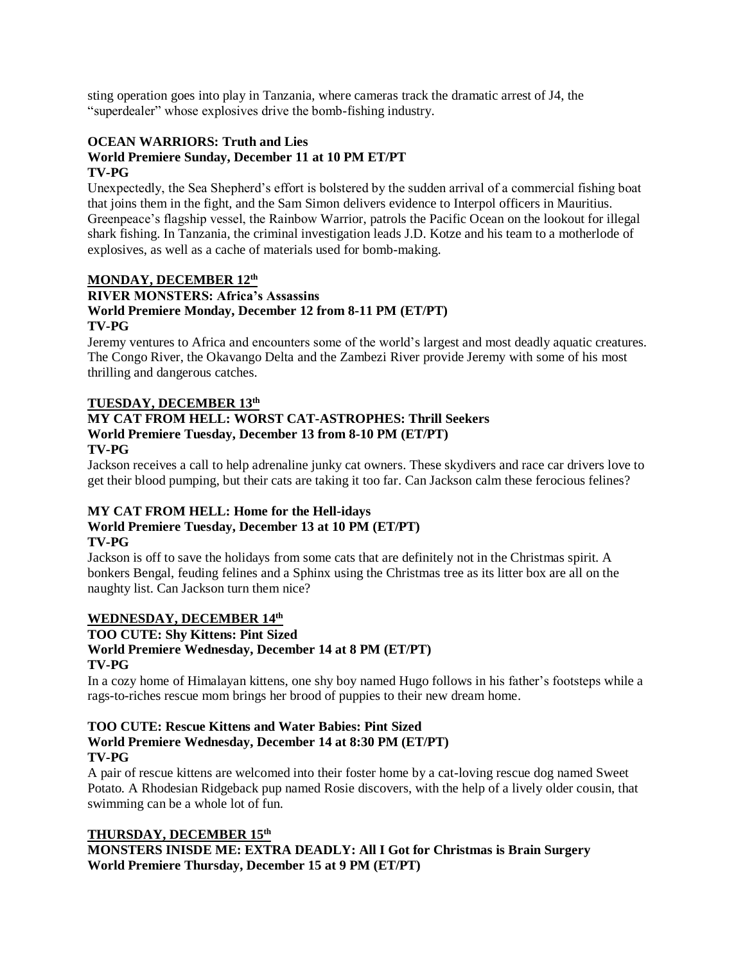sting operation goes into play in Tanzania, where cameras track the dramatic arrest of J4, the "superdealer" whose explosives drive the bomb-fishing industry.

# **OCEAN WARRIORS: Truth and Lies**

#### **World Premiere Sunday, December 11 at 10 PM ET/PT TV-PG**

Unexpectedly, the Sea Shepherd's effort is bolstered by the sudden arrival of a commercial fishing boat that joins them in the fight, and the Sam Simon delivers evidence to Interpol officers in Mauritius. Greenpeace's flagship vessel, the Rainbow Warrior, patrols the Pacific Ocean on the lookout for illegal shark fishing. In Tanzania, the criminal investigation leads J.D. Kotze and his team to a motherlode of explosives, as well as a cache of materials used for bomb-making.

# **MONDAY, DECEMBER 12th**

## **RIVER MONSTERS: Africa's Assassins World Premiere Monday, December 12 from 8-11 PM (ET/PT) TV-PG**

Jeremy ventures to Africa and encounters some of the world's largest and most deadly aquatic creatures. The Congo River, the Okavango Delta and the Zambezi River provide Jeremy with some of his most thrilling and dangerous catches.

## **TUESDAY, DECEMBER 13 th**

#### **MY CAT FROM HELL: WORST CAT-ASTROPHES: Thrill Seekers World Premiere Tuesday, December 13 from 8-10 PM (ET/PT) TV-PG**

Jackson receives a call to help adrenaline junky cat owners. These skydivers and race car drivers love to get their blood pumping, but their cats are taking it too far. Can Jackson calm these ferocious felines?

#### **MY CAT FROM HELL: Home for the Hell-idays World Premiere Tuesday, December 13 at 10 PM (ET/PT)**

# **TV-PG**

Jackson is off to save the holidays from some cats that are definitely not in the Christmas spirit. A bonkers Bengal, feuding felines and a Sphinx using the Christmas tree as its litter box are all on the naughty list. Can Jackson turn them nice?

# **WEDNESDAY, DECEMBER 14 th**

#### **TOO CUTE: Shy Kittens: Pint Sized World Premiere Wednesday, December 14 at 8 PM (ET/PT) TV-PG**

In a cozy home of Himalayan kittens, one shy boy named Hugo follows in his father's footsteps while a rags-to-riches rescue mom brings her brood of puppies to their new dream home.

# **TOO CUTE: Rescue Kittens and Water Babies: Pint Sized World Premiere Wednesday, December 14 at 8:30 PM (ET/PT) TV-PG**

A pair of rescue kittens are welcomed into their foster home by a cat-loving rescue dog named Sweet Potato. A Rhodesian Ridgeback pup named Rosie discovers, with the help of a lively older cousin, that swimming can be a whole lot of fun.

# **THURSDAY, DECEMBER 15 th**

**MONSTERS INISDE ME: EXTRA DEADLY: All I Got for Christmas is Brain Surgery World Premiere Thursday, December 15 at 9 PM (ET/PT)**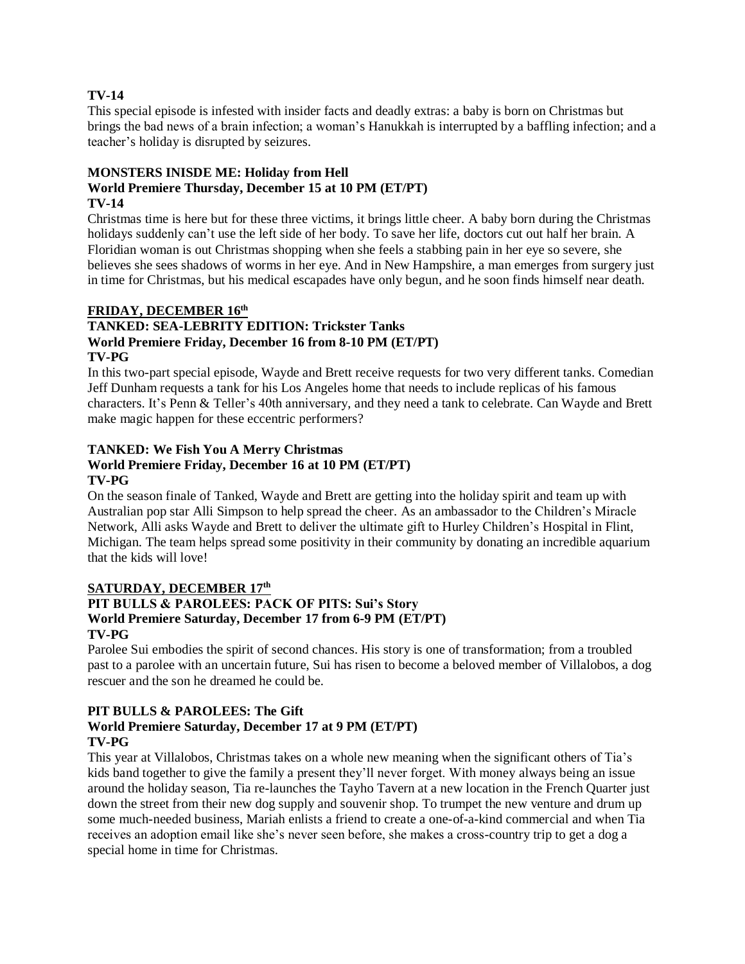#### **TV-14**

This special episode is infested with insider facts and deadly extras: a baby is born on Christmas but brings the bad news of a brain infection; a woman's Hanukkah is interrupted by a baffling infection; and a teacher's holiday is disrupted by seizures.

#### **MONSTERS INISDE ME: Holiday from Hell World Premiere Thursday, December 15 at 10 PM (ET/PT) TV-14**

Christmas time is here but for these three victims, it brings little cheer. A baby born during the Christmas holidays suddenly can't use the left side of her body. To save her life, doctors cut out half her brain. A Floridian woman is out Christmas shopping when she feels a stabbing pain in her eye so severe, she believes she sees shadows of worms in her eye. And in New Hampshire, a man emerges from surgery just in time for Christmas, but his medical escapades have only begun, and he soon finds himself near death.

## **FRIDAY, DECEMBER 16 th**

#### **TANKED: SEA-LEBRITY EDITION: Trickster Tanks World Premiere Friday, December 16 from 8-10 PM (ET/PT) TV-PG**

In this two-part special episode, Wayde and Brett receive requests for two very different tanks. Comedian Jeff Dunham requests a tank for his Los Angeles home that needs to include replicas of his famous characters. It's Penn & Teller's 40th anniversary, and they need a tank to celebrate. Can Wayde and Brett make magic happen for these eccentric performers?

# **TANKED: We Fish You A Merry Christmas**

#### **World Premiere Friday, December 16 at 10 PM (ET/PT) TV-PG**

On the season finale of Tanked, Wayde and Brett are getting into the holiday spirit and team up with Australian pop star Alli Simpson to help spread the cheer. As an ambassador to the Children's Miracle Network, Alli asks Wayde and Brett to deliver the ultimate gift to Hurley Children's Hospital in Flint, Michigan. The team helps spread some positivity in their community by donating an incredible aquarium that the kids will love!

#### **SATURDAY, DECEMBER 17th**

# **PIT BULLS & PAROLEES: PACK OF PITS: Sui's Story World Premiere Saturday, December 17 from 6-9 PM (ET/PT) TV-PG**

Parolee Sui embodies the spirit of second chances. His story is one of transformation; from a troubled past to a parolee with an uncertain future, Sui has risen to become a beloved member of Villalobos, a dog rescuer and the son he dreamed he could be.

# **PIT BULLS & PAROLEES: The Gift**

# **World Premiere Saturday, December 17 at 9 PM (ET/PT) TV-PG**

This year at Villalobos, Christmas takes on a whole new meaning when the significant others of Tia's kids band together to give the family a present they'll never forget. With money always being an issue around the holiday season, Tia re-launches the Tayho Tavern at a new location in the French Quarter just down the street from their new dog supply and souvenir shop. To trumpet the new venture and drum up some much-needed business, Mariah enlists a friend to create a one-of-a-kind commercial and when Tia receives an adoption email like she's never seen before, she makes a cross-country trip to get a dog a special home in time for Christmas.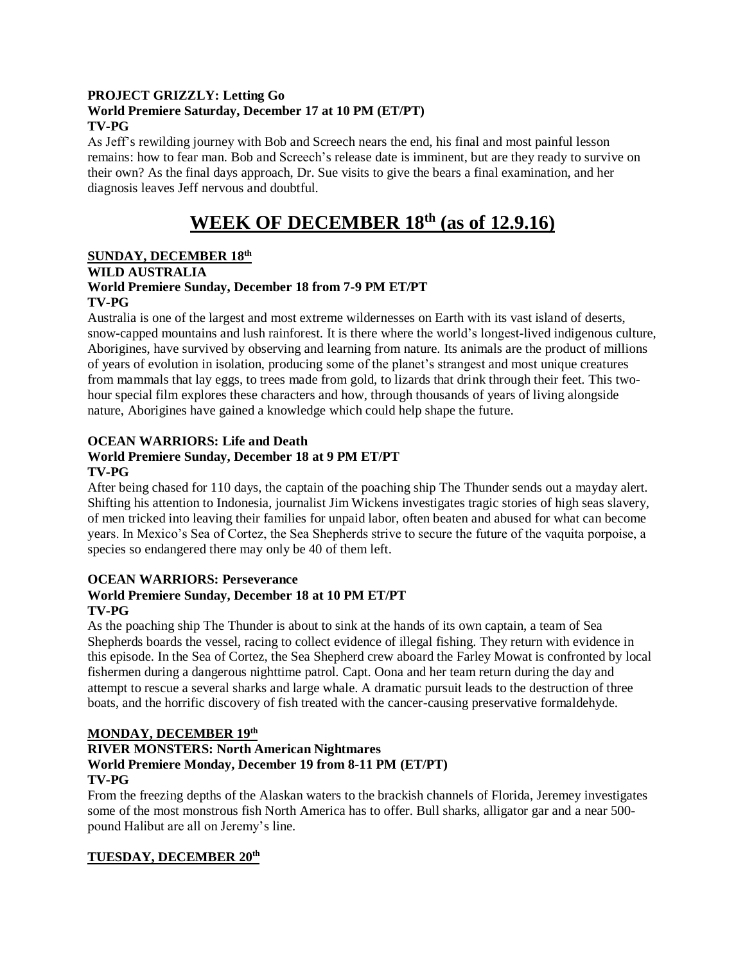# **PROJECT GRIZZLY: Letting Go World Premiere Saturday, December 17 at 10 PM (ET/PT) TV-PG**

As Jeff's rewilding journey with Bob and Screech nears the end, his final and most painful lesson remains: how to fear man. Bob and Screech's release date is imminent, but are they ready to survive on their own? As the final days approach, Dr. Sue visits to give the bears a final examination, and her diagnosis leaves Jeff nervous and doubtful.

# **WEEK OF DECEMBER 18 th (as of 12.9.16)**

## **SUNDAY, DECEMBER 18 th WILD AUSTRALIA World Premiere Sunday, December 18 from 7-9 PM ET/PT TV-PG**

Australia is one of the largest and most extreme wildernesses on Earth with its vast island of deserts, snow-capped mountains and lush rainforest. It is there where the world's longest-lived indigenous culture, Aborigines, have survived by observing and learning from nature. Its animals are the product of millions of years of evolution in isolation, producing some of the planet's strangest and most unique creatures from mammals that lay eggs, to trees made from gold, to lizards that drink through their feet. This twohour special film explores these characters and how, through thousands of years of living alongside nature, Aborigines have gained a knowledge which could help shape the future.

# **OCEAN WARRIORS: Life and Death**

# **World Premiere Sunday, December 18 at 9 PM ET/PT TV-PG**

After being chased for 110 days, the captain of the poaching ship The Thunder sends out a mayday alert. Shifting his attention to Indonesia, journalist Jim Wickens investigates tragic stories of high seas slavery, of men tricked into leaving their families for unpaid labor, often beaten and abused for what can become years. In Mexico's Sea of Cortez, the Sea Shepherds strive to secure the future of the vaquita porpoise, a species so endangered there may only be 40 of them left.

## **OCEAN WARRIORS: Perseverance World Premiere Sunday, December 18 at 10 PM ET/PT TV-PG**

As the poaching ship The Thunder is about to sink at the hands of its own captain, a team of Sea Shepherds boards the vessel, racing to collect evidence of illegal fishing. They return with evidence in this episode. In the Sea of Cortez, the Sea Shepherd crew aboard the Farley Mowat is confronted by local fishermen during a dangerous nighttime patrol. Capt. Oona and her team return during the day and attempt to rescue a several sharks and large whale. A dramatic pursuit leads to the destruction of three boats, and the horrific discovery of fish treated with the cancer-causing preservative formaldehyde.

# **MONDAY, DECEMBER 19 th**

#### **RIVER MONSTERS: North American Nightmares World Premiere Monday, December 19 from 8-11 PM (ET/PT) TV-PG**

From the freezing depths of the Alaskan waters to the brackish channels of Florida, Jeremey investigates some of the most monstrous fish North America has to offer. Bull sharks, alligator gar and a near 500 pound Halibut are all on Jeremy's line.

# **TUESDAY, DECEMBER 20th**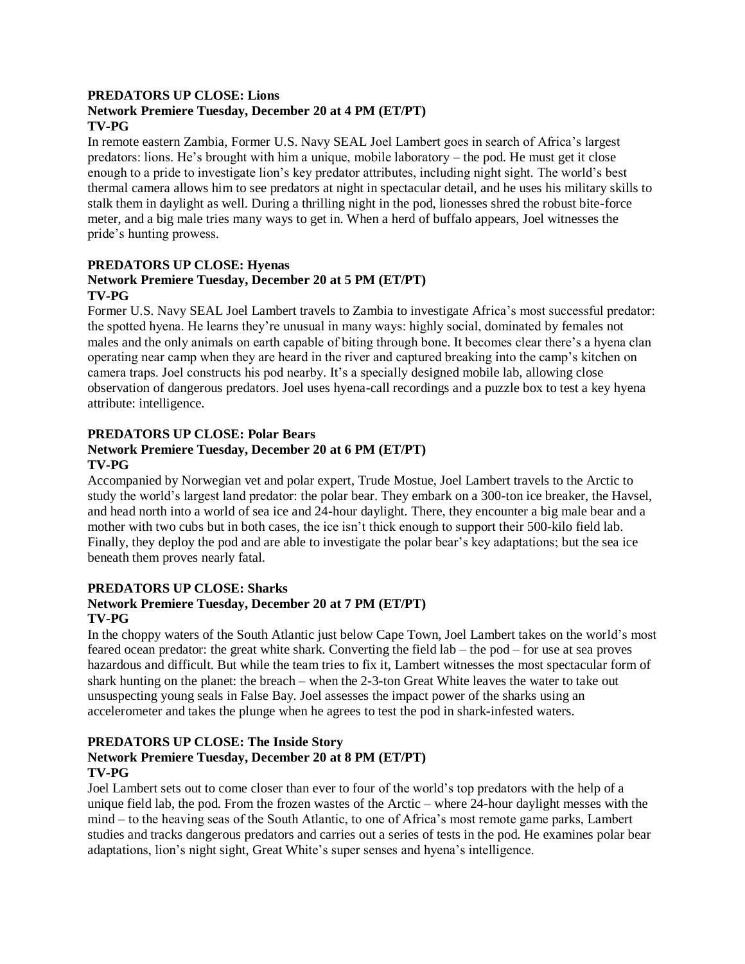#### **PREDATORS UP CLOSE: Lions Network Premiere Tuesday, December 20 at 4 PM (ET/PT)**

# **TV-PG**

In remote eastern Zambia, Former U.S. Navy SEAL Joel Lambert goes in search of Africa's largest predators: lions. He's brought with him a unique, mobile laboratory – the pod. He must get it close enough to a pride to investigate lion's key predator attributes, including night sight. The world's best thermal camera allows him to see predators at night in spectacular detail, and he uses his military skills to stalk them in daylight as well. During a thrilling night in the pod, lionesses shred the robust bite-force meter, and a big male tries many ways to get in. When a herd of buffalo appears, Joel witnesses the pride's hunting prowess.

#### **PREDATORS UP CLOSE: Hyenas Network Premiere Tuesday, December 20 at 5 PM (ET/PT) TV-PG**

Former U.S. Navy SEAL Joel Lambert travels to Zambia to investigate Africa's most successful predator: the spotted hyena. He learns they're unusual in many ways: highly social, dominated by females not males and the only animals on earth capable of biting through bone. It becomes clear there's a hyena clan operating near camp when they are heard in the river and captured breaking into the camp's kitchen on camera traps. Joel constructs his pod nearby. It's a specially designed mobile lab, allowing close observation of dangerous predators. Joel uses hyena-call recordings and a puzzle box to test a key hyena attribute: intelligence.

# **PREDATORS UP CLOSE: Polar Bears**

# **Network Premiere Tuesday, December 20 at 6 PM (ET/PT) TV-PG**

Accompanied by Norwegian vet and polar expert, Trude Mostue, Joel Lambert travels to the Arctic to study the world's largest land predator: the polar bear. They embark on a 300-ton ice breaker, the Havsel, and head north into a world of sea ice and 24-hour daylight. There, they encounter a big male bear and a mother with two cubs but in both cases, the ice isn't thick enough to support their 500-kilo field lab. Finally, they deploy the pod and are able to investigate the polar bear's key adaptations; but the sea ice beneath them proves nearly fatal.

# **PREDATORS UP CLOSE: Sharks**

# **Network Premiere Tuesday, December 20 at 7 PM (ET/PT) TV-PG**

In the choppy waters of the South Atlantic just below Cape Town, Joel Lambert takes on the world's most feared ocean predator: the great white shark. Converting the field lab – the pod – for use at sea proves hazardous and difficult. But while the team tries to fix it, Lambert witnesses the most spectacular form of shark hunting on the planet: the breach – when the 2-3-ton Great White leaves the water to take out unsuspecting young seals in False Bay. Joel assesses the impact power of the sharks using an accelerometer and takes the plunge when he agrees to test the pod in shark-infested waters.

# **PREDATORS UP CLOSE: The Inside Story**

## **Network Premiere Tuesday, December 20 at 8 PM (ET/PT) TV-PG**

Joel Lambert sets out to come closer than ever to four of the world's top predators with the help of a unique field lab, the pod. From the frozen wastes of the Arctic – where 24-hour daylight messes with the mind – to the heaving seas of the South Atlantic, to one of Africa's most remote game parks, Lambert studies and tracks dangerous predators and carries out a series of tests in the pod. He examines polar bear adaptations, lion's night sight, Great White's super senses and hyena's intelligence.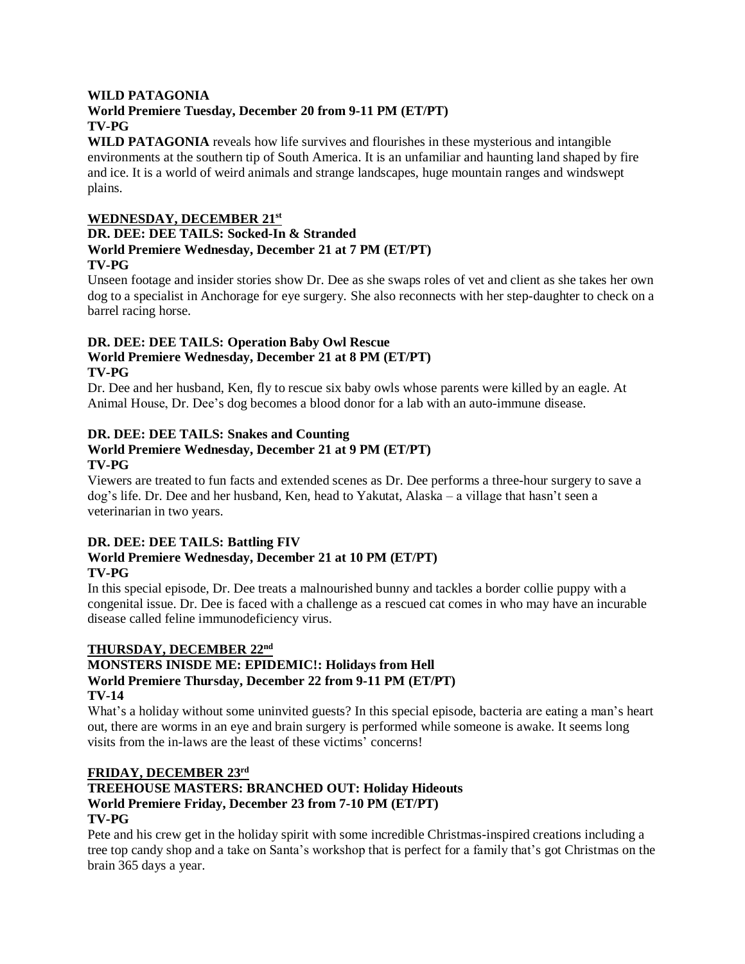#### **WILD PATAGONIA**

# **World Premiere Tuesday, December 20 from 9-11 PM (ET/PT) TV-PG**

**WILD PATAGONIA** reveals how life survives and flourishes in these mysterious and intangible environments at the southern tip of South America. It is an unfamiliar and haunting land shaped by fire and ice. It is a world of weird animals and strange landscapes, huge mountain ranges and windswept plains.

## **WEDNESDAY, DECEMBER 21st**

#### **DR. DEE: DEE TAILS: Socked-In & Stranded World Premiere Wednesday, December 21 at 7 PM (ET/PT) TV-PG**

Unseen footage and insider stories show Dr. Dee as she swaps roles of vet and client as she takes her own dog to a specialist in Anchorage for eye surgery. She also reconnects with her step-daughter to check on a barrel racing horse.

#### **DR. DEE: DEE TAILS: Operation Baby Owl Rescue World Premiere Wednesday, December 21 at 8 PM (ET/PT) TV-PG**

Dr. Dee and her husband, Ken, fly to rescue six baby owls whose parents were killed by an eagle. At Animal House, Dr. Dee's dog becomes a blood donor for a lab with an auto-immune disease.

# **DR. DEE: DEE TAILS: Snakes and Counting**

#### **World Premiere Wednesday, December 21 at 9 PM (ET/PT) TV-PG**

Viewers are treated to fun facts and extended scenes as Dr. Dee performs a three-hour surgery to save a dog's life. Dr. Dee and her husband, Ken, head to Yakutat, Alaska – a village that hasn't seen a veterinarian in two years.

# **DR. DEE: DEE TAILS: Battling FIV**

#### **World Premiere Wednesday, December 21 at 10 PM (ET/PT) TV-PG**

In this special episode, Dr. Dee treats a malnourished bunny and tackles a border collie puppy with a congenital issue. Dr. Dee is faced with a challenge as a rescued cat comes in who may have an incurable disease called feline immunodeficiency virus.

#### **THURSDAY, DECEMBER 22nd**

#### **MONSTERS INISDE ME: EPIDEMIC!: Holidays from Hell World Premiere Thursday, December 22 from 9-11 PM (ET/PT) TV-14**

What's a holiday without some uninvited guests? In this special episode, bacteria are eating a man's heart out, there are worms in an eye and brain surgery is performed while someone is awake. It seems long visits from the in-laws are the least of these victims' concerns!

# **FRIDAY, DECEMBER 23rd**

#### **TREEHOUSE MASTERS: BRANCHED OUT: Holiday Hideouts World Premiere Friday, December 23 from 7-10 PM (ET/PT) TV-PG**

Pete and his crew get in the holiday spirit with some incredible Christmas-inspired creations including a tree top candy shop and a take on Santa's workshop that is perfect for a family that's got Christmas on the brain 365 days a year.